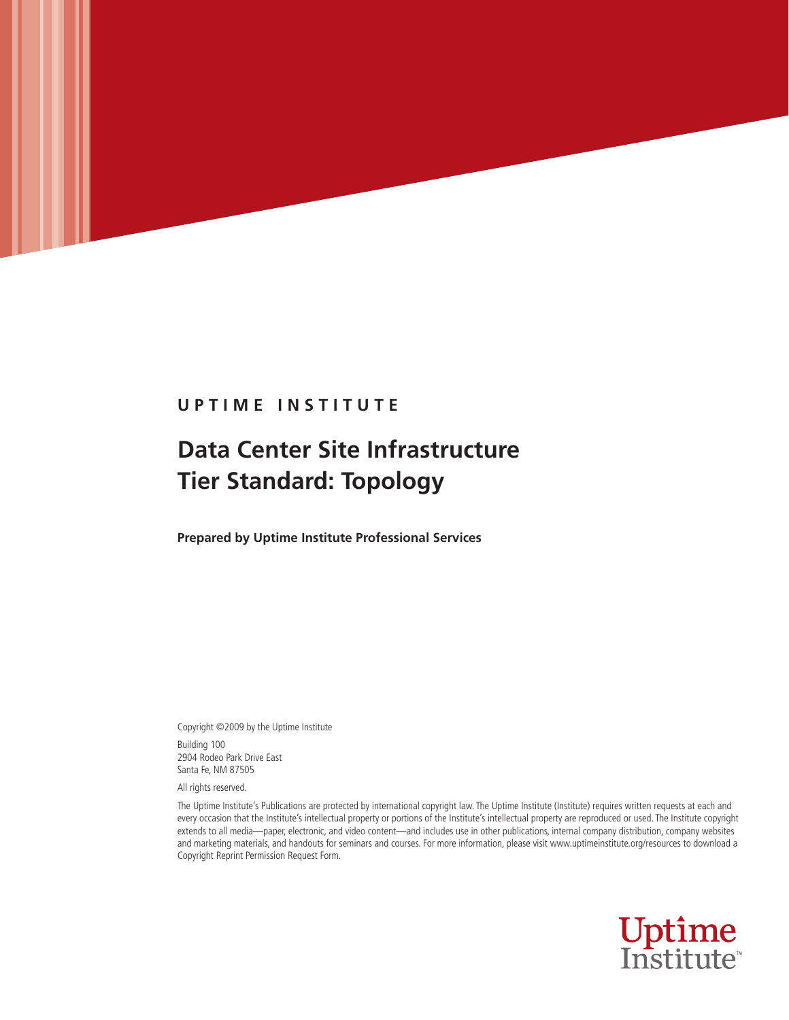# **U P T I M E I N S T I T U T E**

UPTIME INSTITUTE **Data Center Site Infrastructure Tier Standard: Topology**

# **Data Center Site Infrastructure Tier Standard: Topology**

**Prepared by Uptime Institute Professional Services**

Copyright ©2009 by the Uptime Institute Building 100 2904 Rodeo Park Drive East Santa Fe, NM 87505

All rights reserved.

The Uptime Institute's Publications are protected by international copyright law. The Uptime Institute (Institute) requires written requests at each and every occasion that the Institute's intellectual property or portions of the Institute's intellectual property are reproduced or used. The Institute copyright extends to all media—paper, electronic, and video content—and includes use in other publications, internal company distribution, company websites and marketing materials, and handouts for seminars and courses. For more information, please visit www.uptimeinstitute.org/resources to download a Copyright Reprint Permission Request Form.

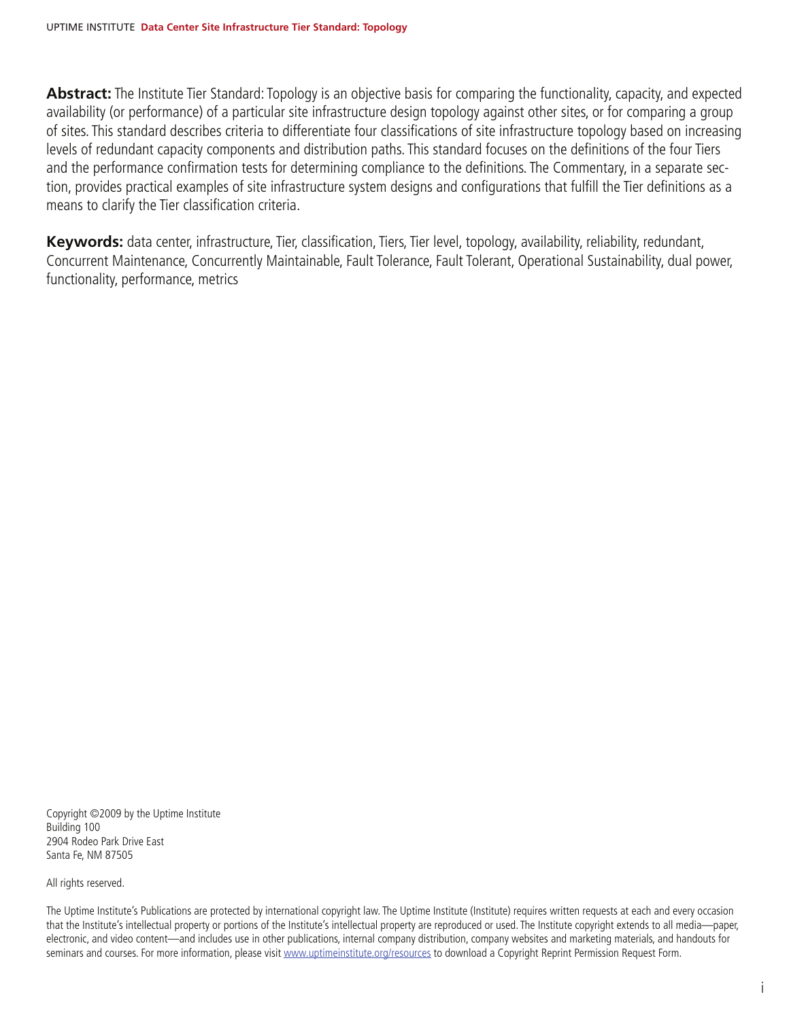**Abstract:** The Institute Tier Standard: Topology is an objective basis for comparing the functionality, capacity, and expected availability (or performance) of a particular site infrastructure design topology against other sites, or for comparing a group of sites. This standard describes criteria to differentiate four classifications of site infrastructure topology based on increasing levels of redundant capacity components and distribution paths. This standard focuses on the definitions of the four Tiers and the performance confirmation tests for determining compliance to the definitions. The Commentary, in a separate section, provides practical examples of site infrastructure system designs and configurations that fulfill the Tier definitions as a means to clarify the Tier classification criteria.

**Keywords:** data center, infrastructure, Tier, classification, Tiers, Tier level, topology, availability, reliability, redundant, Concurrent Maintenance, Concurrently Maintainable, Fault Tolerance, Fault Tolerant, Operational Sustainability, dual power, functionality, performance, metrics

Copyright ©2009 by the Uptime Institute Building 100 2904 Rodeo Park Drive East Santa Fe, NM 87505

All rights reserved.

The Uptime Institute's Publications are protected by international copyright law. The Uptime Institute (Institute) requires written requests at each and every occasion that the Institute's intellectual property or portions of the Institute's intellectual property are reproduced or used. The Institute copyright extends to all media—paper, electronic, and video content—and includes use in other publications, internal company distribution, company websites and marketing materials, and handouts for seminars and courses. For more information, please visit www.uptimeinstitute.org/resources to download a Copyright Reprint Permission Request Form.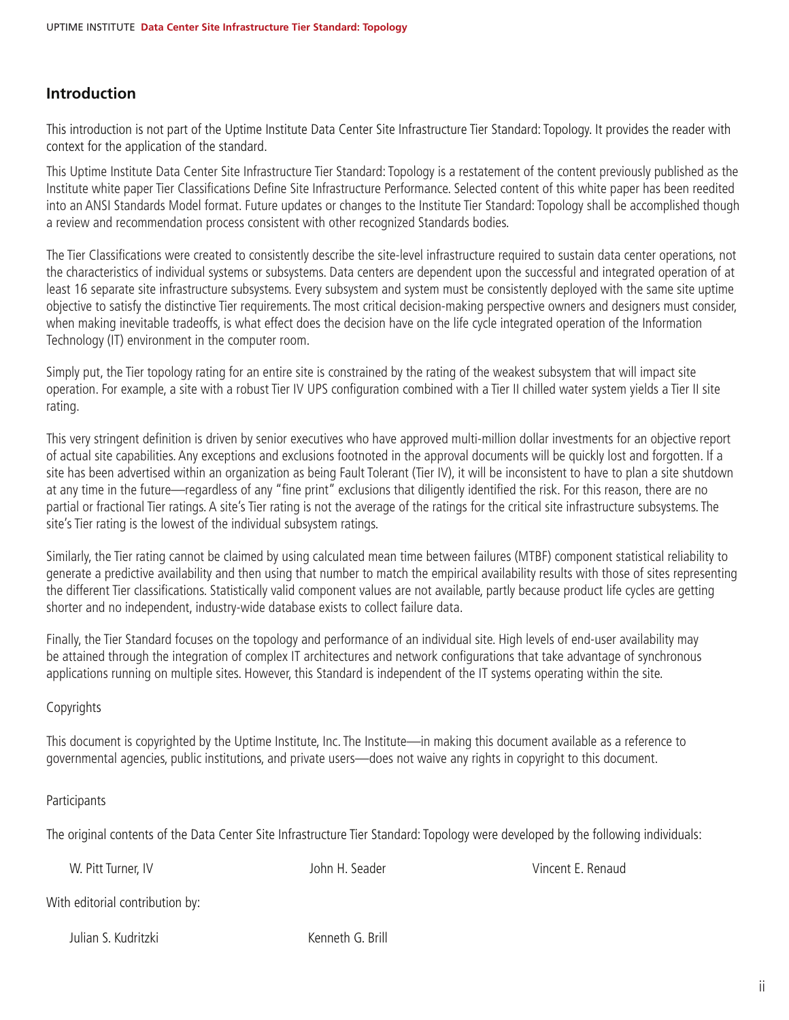## **Introduction**

This introduction is not part of the Uptime Institute Data Center Site Infrastructure Tier Standard: Topology. It provides the reader with context for the application of the standard.

This Uptime Institute Data Center Site Infrastructure Tier Standard: Topology is a restatement of the content previously published as the Institute white paper Tier Classifications Define Site Infrastructure Performance. Selected content of this white paper has been reedited into an ANSI Standards Model format. Future updates or changes to the Institute Tier Standard: Topology shall be accomplished though a review and recommendation process consistent with other recognized Standards bodies.

The Tier Classifications were created to consistently describe the site-level infrastructure required to sustain data center operations, not the characteristics of individual systems or subsystems. Data centers are dependent upon the successful and integrated operation of at least 16 separate site infrastructure subsystems. Every subsystem and system must be consistently deployed with the same site uptime objective to satisfy the distinctive Tier requirements. The most critical decision-making perspective owners and designers must consider, when making inevitable tradeoffs, is what effect does the decision have on the life cycle integrated operation of the Information Technology (IT) environment in the computer room.

Simply put, the Tier topology rating for an entire site is constrained by the rating of the weakest subsystem that will impact site operation. For example, a site with a robust Tier IV UPS configuration combined with a Tier II chilled water system yields a Tier II site rating.

This very stringent definition is driven by senior executives who have approved multi-million dollar investments for an objective report of actual site capabilities. Any exceptions and exclusions footnoted in the approval documents will be quickly lost and forgotten. If a site has been advertised within an organization as being Fault Tolerant (Tier IV), it will be inconsistent to have to plan a site shutdown at any time in the future—regardless of any "fine print" exclusions that diligently identified the risk. For this reason, there are no partial or fractional Tier ratings. A site's Tier rating is not the average of the ratings for the critical site infrastructure subsystems. The site's Tier rating is the lowest of the individual subsystem ratings.

Similarly, the Tier rating cannot be claimed by using calculated mean time between failures (MTBF) component statistical reliability to generate a predictive availability and then using that number to match the empirical availability results with those of sites representing the different Tier classifications. Statistically valid component values are not available, partly because product life cycles are getting shorter and no independent, industry-wide database exists to collect failure data.

Finally, the Tier Standard focuses on the topology and performance of an individual site. High levels of end-user availability may be attained through the integration of complex IT architectures and network configurations that take advantage of synchronous applications running on multiple sites. However, this Standard is independent of the IT systems operating within the site.

### Copyrights

This document is copyrighted by the Uptime Institute, Inc. The Institute—in making this document available as a reference to governmental agencies, public institutions, and private users—does not waive any rights in copyright to this document.

### **Participants**

The original contents of the Data Center Site Infrastructure Tier Standard: Topology were developed by the following individuals:

W. Pitt Turner, IV and the Community of the Museum John H. Seader Community Community Community Vincent E. Renaud

With editorial contribution by:

Julian S. Kudritzki Kenneth G. Brill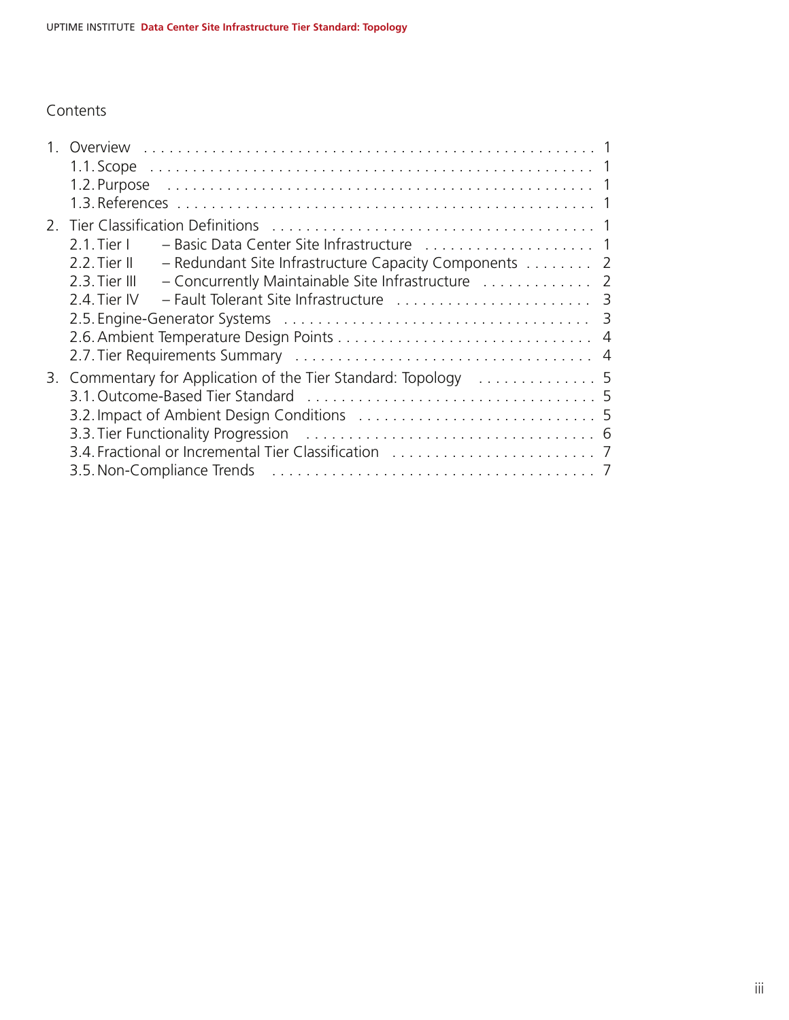# Contents

| $2.1$ . Tier L                                                           |  |
|--------------------------------------------------------------------------|--|
| $2.2$ . Tier II<br>- Redundant Site Infrastructure Capacity Components 2 |  |
| - Concurrently Maintainable Site Infrastructure  2<br>2.3. Tier III      |  |
| 2.4. Tier IV                                                             |  |
|                                                                          |  |
|                                                                          |  |
|                                                                          |  |
| 3. Commentary for Application of the Tier Standard: Topology  5          |  |
|                                                                          |  |
|                                                                          |  |
|                                                                          |  |
|                                                                          |  |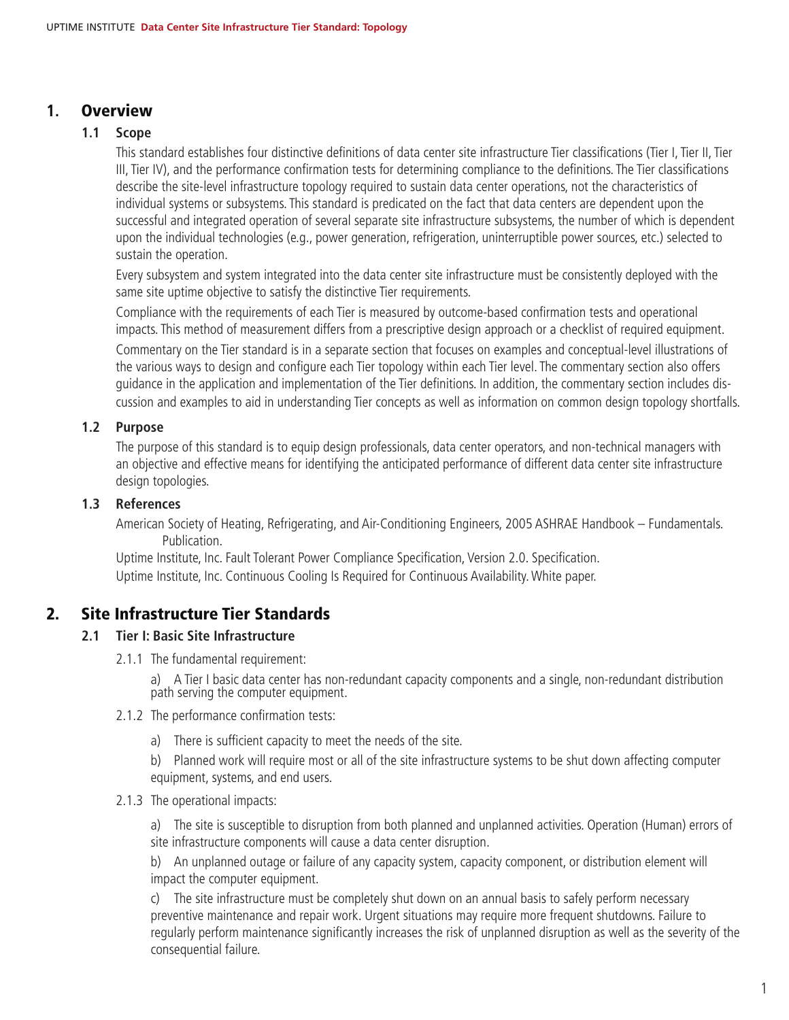## **1.** Overview

### **1.1 Scope**

This standard establishes four distinctive definitions of data center site infrastructure Tier classifications (Tier I, Tier II, Tier III, Tier IV), and the performance confirmation tests for determining compliance to the definitions. The Tier classifications describe the site-level infrastructure topology required to sustain data center operations, not the characteristics of individual systems or subsystems. This standard is predicated on the fact that data centers are dependent upon the successful and integrated operation of several separate site infrastructure subsystems, the number of which is dependent upon the individual technologies (e.g., power generation, refrigeration, uninterruptible power sources, etc.) selected to sustain the operation.

Every subsystem and system integrated into the data center site infrastructure must be consistently deployed with the same site uptime objective to satisfy the distinctive Tier requirements.

Compliance with the requirements of each Tier is measured by outcome-based confirmation tests and operational impacts. This method of measurement differs from a prescriptive design approach or a checklist of required equipment.

Commentary on the Tier standard is in a separate section that focuses on examples and conceptual-level illustrations of the various ways to design and configure each Tier topology within each Tier level. The commentary section also offers guidance in the application and implementation of the Tier definitions. In addition, the commentary section includes discussion and examples to aid in understanding Tier concepts as well as information on common design topology shortfalls.

### **1.2 Purpose**

The purpose of this standard is to equip design professionals, data center operators, and non-technical managers with an objective and effective means for identifying the anticipated performance of different data center site infrastructure design topologies.

#### **1.3 References**

American Society of Heating, Refrigerating, and Air-Conditioning Engineers, 2005 ASHRAE Handbook – Fundamentals. Publication.

Uptime Institute, Inc. Fault Tolerant Power Compliance Specification, Version 2.0. Specification. Uptime Institute, Inc. Continuous Cooling Is Required for Continuous Availability. White paper.

# 2. Site Infrastructure Tier Standards

#### **2.1 Tier I: Basic Site Infrastructure**

2.1.1 The fundamental requirement:

a) A Tier I basic data center has non-redundant capacity components and a single, non-redundant distribution path serving the computer equipment.

- 2.1.2 The performance confirmation tests:
	- a) There is sufficient capacity to meet the needs of the site.

b) Planned work will require most or all of the site infrastructure systems to be shut down affecting computer equipment, systems, and end users.

#### 2.1.3 The operational impacts:

a) The site is susceptible to disruption from both planned and unplanned activities. Operation (Human) errors of site infrastructure components will cause a data center disruption.

b) An unplanned outage or failure of any capacity system, capacity component, or distribution element will impact the computer equipment.

c) The site infrastructure must be completely shut down on an annual basis to safely perform necessary preventive maintenance and repair work. Urgent situations may require more frequent shutdowns. Failure to regularly perform maintenance significantly increases the risk of unplanned disruption as well as the severity of the consequential failure.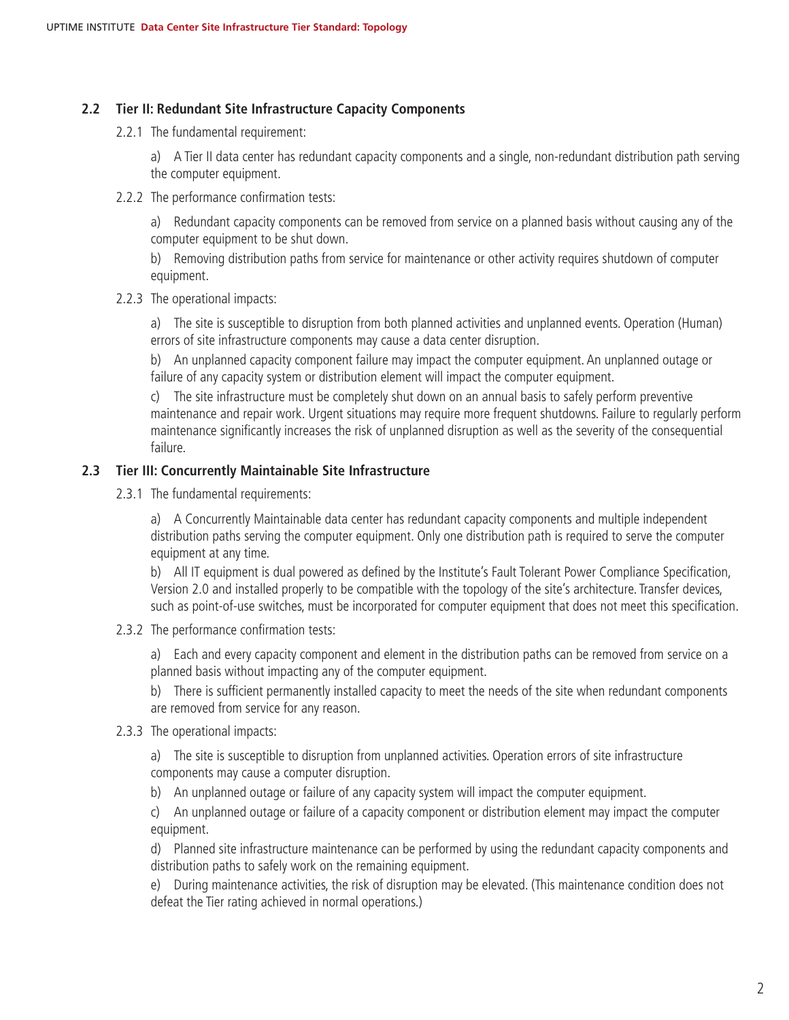### **2.2 Tier II: Redundant Site Infrastructure Capacity Components**

2.2.1 The fundamental requirement:

a) A Tier II data center has redundant capacity components and a single, non-redundant distribution path serving the computer equipment.

2.2.2 The performance confirmation tests:

a) Redundant capacity components can be removed from service on a planned basis without causing any of the computer equipment to be shut down.

b) Removing distribution paths from service for maintenance or other activity requires shutdown of computer equipment.

2.2.3 The operational impacts:

a) The site is susceptible to disruption from both planned activities and unplanned events. Operation (Human) errors of site infrastructure components may cause a data center disruption.

b) An unplanned capacity component failure may impact the computer equipment. An unplanned outage or failure of any capacity system or distribution element will impact the computer equipment.

c) The site infrastructure must be completely shut down on an annual basis to safely perform preventive maintenance and repair work. Urgent situations may require more frequent shutdowns. Failure to regularly perform maintenance significantly increases the risk of unplanned disruption as well as the severity of the consequential failure.

## **2.3 Tier III: Concurrently Maintainable Site Infrastructure**

2.3.1 The fundamental requirements:

a) A Concurrently Maintainable data center has redundant capacity components and multiple independent distribution paths serving the computer equipment. Only one distribution path is required to serve the computer equipment at any time.

b) All IT equipment is dual powered as defined by the Institute's Fault Tolerant Power Compliance Specification, Version 2.0 and installed properly to be compatible with the topology of the site's architecture. Transfer devices, such as point-of-use switches, must be incorporated for computer equipment that does not meet this specification.

2.3.2 The performance confirmation tests:

a) Each and every capacity component and element in the distribution paths can be removed from service on a planned basis without impacting any of the computer equipment.

b) There is sufficient permanently installed capacity to meet the needs of the site when redundant components are removed from service for any reason.

2.3.3 The operational impacts:

a) The site is susceptible to disruption from unplanned activities. Operation errors of site infrastructure components may cause a computer disruption.

b) An unplanned outage or failure of any capacity system will impact the computer equipment.

c) An unplanned outage or failure of a capacity component or distribution element may impact the computer equipment.

d) Planned site infrastructure maintenance can be performed by using the redundant capacity components and distribution paths to safely work on the remaining equipment.

e) During maintenance activities, the risk of disruption may be elevated. (This maintenance condition does not defeat the Tier rating achieved in normal operations.)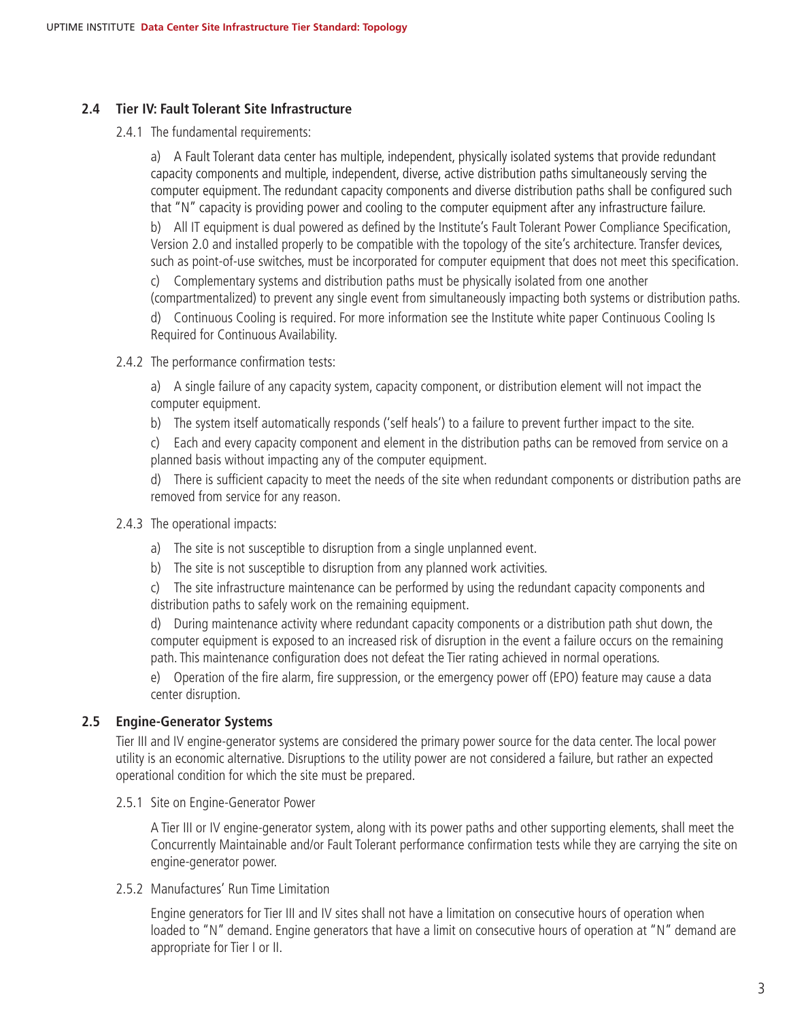## **2.4 Tier IV: Fault Tolerant Site Infrastructure**

2.4.1 The fundamental requirements:

a) A Fault Tolerant data center has multiple, independent, physically isolated systems that provide redundant capacity components and multiple, independent, diverse, active distribution paths simultaneously serving the computer equipment. The redundant capacity components and diverse distribution paths shall be configured such that "N" capacity is providing power and cooling to the computer equipment after any infrastructure failure.

b) All IT equipment is dual powered as defined by the Institute's Fault Tolerant Power Compliance Specification, Version 2.0 and installed properly to be compatible with the topology of the site's architecture. Transfer devices, such as point-of-use switches, must be incorporated for computer equipment that does not meet this specification.

c) Complementary systems and distribution paths must be physically isolated from one another

(compartmentalized) to prevent any single event from simultaneously impacting both systems or distribution paths. d) Continuous Cooling is required. For more information see the Institute white paper Continuous Cooling Is Required for Continuous Availability.

- 2.4.2 The performance confirmation tests:
	- a) A single failure of any capacity system, capacity component, or distribution element will not impact the computer equipment.
	- b) The system itself automatically responds ('self heals') to a failure to prevent further impact to the site.

c) Each and every capacity component and element in the distribution paths can be removed from service on a planned basis without impacting any of the computer equipment.

d) There is sufficient capacity to meet the needs of the site when redundant components or distribution paths are removed from service for any reason.

### 2.4.3 The operational impacts:

- a) The site is not susceptible to disruption from a single unplanned event.
- b) The site is not susceptible to disruption from any planned work activities.

c) The site infrastructure maintenance can be performed by using the redundant capacity components and distribution paths to safely work on the remaining equipment.

d) During maintenance activity where redundant capacity components or a distribution path shut down, the computer equipment is exposed to an increased risk of disruption in the event a failure occurs on the remaining path. This maintenance configuration does not defeat the Tier rating achieved in normal operations.

e) Operation of the fire alarm, fire suppression, or the emergency power off (EPO) feature may cause a data center disruption.

### **2.5 Engine-Generator Systems**

Tier III and IV engine-generator systems are considered the primary power source for the data center. The local power utility is an economic alternative. Disruptions to the utility power are not considered a failure, but rather an expected operational condition for which the site must be prepared.

2.5.1 Site on Engine-Generator Power

A Tier III or IV engine-generator system, along with its power paths and other supporting elements, shall meet the Concurrently Maintainable and/or Fault Tolerant performance confirmation tests while they are carrying the site on engine-generator power.

2.5.2 Manufactures' Run Time Limitation

Engine generators for Tier III and IV sites shall not have a limitation on consecutive hours of operation when loaded to "N" demand. Engine generators that have a limit on consecutive hours of operation at "N" demand are appropriate for Tier I or II.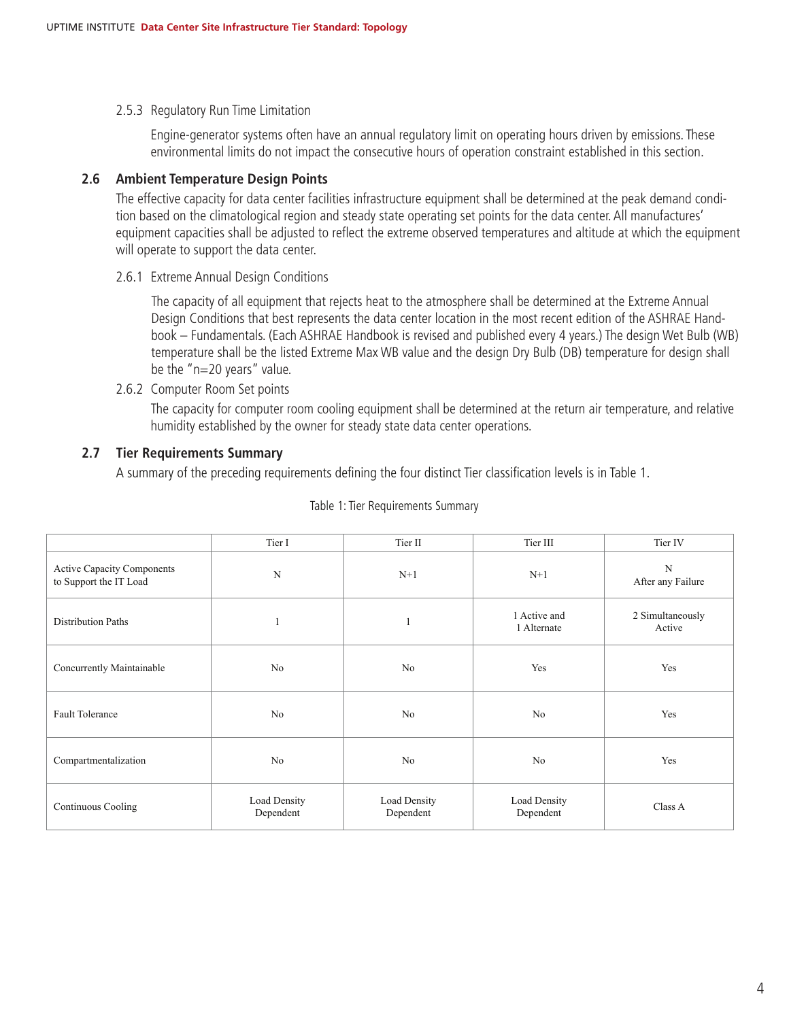2.5.3 Regulatory Run Time Limitation

Engine-generator systems often have an annual regulatory limit on operating hours driven by emissions. These environmental limits do not impact the consecutive hours of operation constraint established in this section.

#### **2.6 Ambient Temperature Design Points**

The effective capacity for data center facilities infrastructure equipment shall be determined at the peak demand condition based on the climatological region and steady state operating set points for the data center. All manufactures' equipment capacities shall be adjusted to reflect the extreme observed temperatures and altitude at which the equipment will operate to support the data center.

2.6.1 Extreme Annual Design Conditions

The capacity of all equipment that rejects heat to the atmosphere shall be determined at the Extreme Annual Design Conditions that best represents the data center location in the most recent edition of the ASHRAE Handbook – Fundamentals. (Each ASHRAE Handbook is revised and published every 4 years.) The design Wet Bulb (WB) temperature shall be the listed Extreme Max WB value and the design Dry Bulb (DB) temperature for design shall be the "n=20 years" value.

2.6.2 Computer Room Set points

The capacity for computer room cooling equipment shall be determined at the return air temperature, and relative humidity established by the owner for steady state data center operations.

### **2.7 Tier Requirements Summary**

A summary of the preceding requirements defining the four distinct Tier classification levels is in Table 1.

|                                                      | Tier I                    | Tier II                   | Tier III                    | Tier IV                          |
|------------------------------------------------------|---------------------------|---------------------------|-----------------------------|----------------------------------|
| Active Capacity Components<br>to Support the IT Load | ${\bf N}$                 | $N+1$                     | $N+1$                       | $\mathbf N$<br>After any Failure |
| <b>Distribution Paths</b>                            |                           | 1                         | 1 Active and<br>1 Alternate | 2 Simultaneously<br>Active       |
| Concurrently Maintainable                            | No                        | No                        | Yes                         | Yes                              |
| Fault Tolerance                                      | No                        | No                        | No                          | Yes                              |
| Compartmentalization                                 | No                        | No                        | No                          | Yes                              |
| Continuous Cooling                                   | Load Density<br>Dependent | Load Density<br>Dependent | Load Density<br>Dependent   | Class A                          |

#### Table 1: Tier Requirements Summary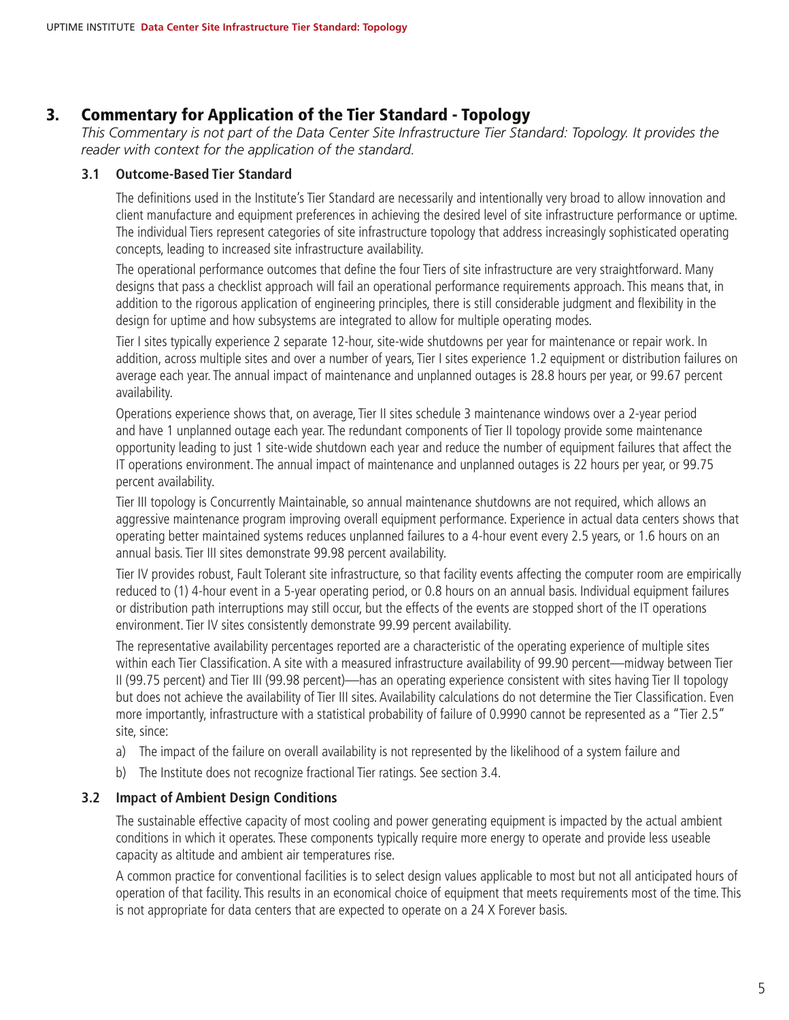# 3. Commentary for Application of the Tier Standard - Topology

*This Commentary is not part of the Data Center Site Infrastructure Tier Standard: Topology. It provides the reader with context for the application of the standard.*

#### **3.1 Outcome-Based Tier Standard**

The definitions used in the Institute's Tier Standard are necessarily and intentionally very broad to allow innovation and client manufacture and equipment preferences in achieving the desired level of site infrastructure performance or uptime. The individual Tiers represent categories of site infrastructure topology that address increasingly sophisticated operating concepts, leading to increased site infrastructure availability.

The operational performance outcomes that define the four Tiers of site infrastructure are very straightforward. Many designs that pass a checklist approach will fail an operational performance requirements approach. This means that, in addition to the rigorous application of engineering principles, there is still considerable judgment and flexibility in the design for uptime and how subsystems are integrated to allow for multiple operating modes.

Tier I sites typically experience 2 separate 12-hour, site-wide shutdowns per year for maintenance or repair work. In addition, across multiple sites and over a number of years, Tier I sites experience 1.2 equipment or distribution failures on average each year. The annual impact of maintenance and unplanned outages is 28.8 hours per year, or 99.67 percent availability.

Operations experience shows that, on average, Tier II sites schedule 3 maintenance windows over a 2-year period and have 1 unplanned outage each year. The redundant components of Tier II topology provide some maintenance opportunity leading to just 1 site-wide shutdown each year and reduce the number of equipment failures that affect the IT operations environment. The annual impact of maintenance and unplanned outages is 22 hours per year, or 99.75 percent availability.

Tier III topology is Concurrently Maintainable, so annual maintenance shutdowns are not required, which allows an aggressive maintenance program improving overall equipment performance. Experience in actual data centers shows that operating better maintained systems reduces unplanned failures to a 4-hour event every 2.5 years, or 1.6 hours on an annual basis. Tier III sites demonstrate 99.98 percent availability.

Tier IV provides robust, Fault Tolerant site infrastructure, so that facility events affecting the computer room are empirically reduced to (1) 4-hour event in a 5-year operating period, or 0.8 hours on an annual basis. Individual equipment failures or distribution path interruptions may still occur, but the effects of the events are stopped short of the IT operations environment. Tier IV sites consistently demonstrate 99.99 percent availability.

The representative availability percentages reported are a characteristic of the operating experience of multiple sites within each Tier Classification. A site with a measured infrastructure availability of 99.90 percent—midway between Tier II (99.75 percent) and Tier III (99.98 percent)—has an operating experience consistent with sites having Tier II topology but does not achieve the availability of Tier III sites. Availability calculations do not determine the Tier Classification. Even more importantly, infrastructure with a statistical probability of failure of 0.9990 cannot be represented as a "Tier 2.5" site, since:

- a) The impact of the failure on overall availability is not represented by the likelihood of a system failure and
- b) The Institute does not recognize fractional Tier ratings. See section 3.4.

### **3.2 Impact of Ambient Design Conditions**

The sustainable effective capacity of most cooling and power generating equipment is impacted by the actual ambient conditions in which it operates. These components typically require more energy to operate and provide less useable capacity as altitude and ambient air temperatures rise.

A common practice for conventional facilities is to select design values applicable to most but not all anticipated hours of operation of that facility. This results in an economical choice of equipment that meets requirements most of the time. This is not appropriate for data centers that are expected to operate on a 24 X Forever basis.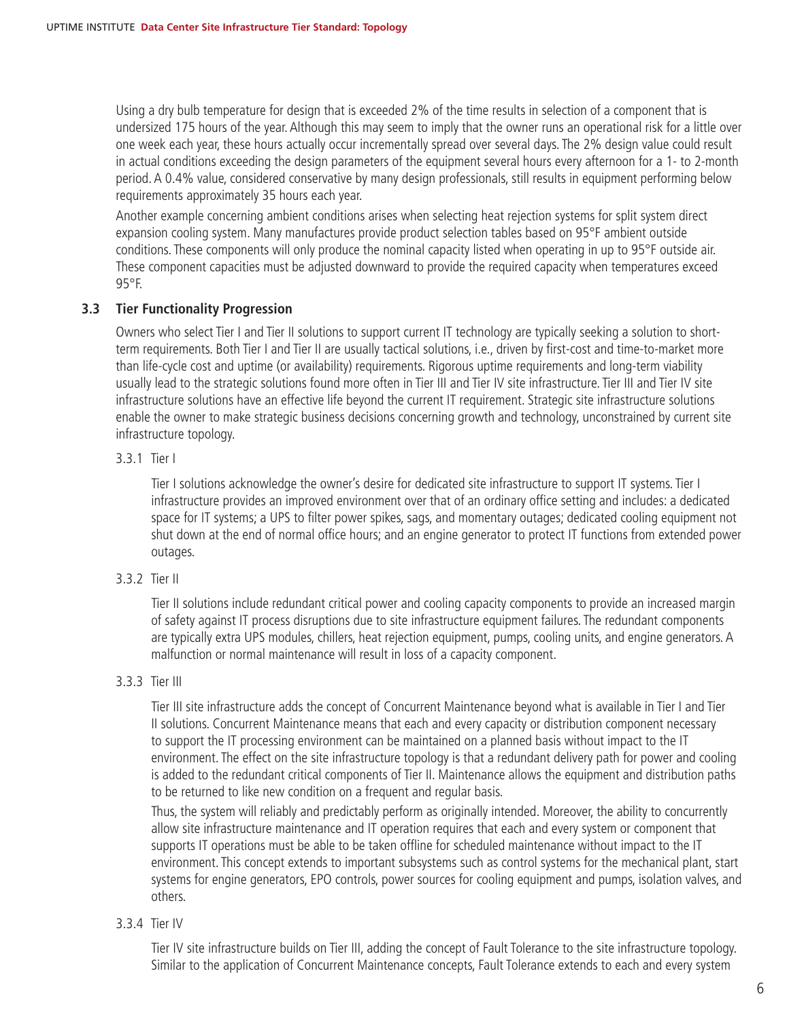Using a dry bulb temperature for design that is exceeded 2% of the time results in selection of a component that is undersized 175 hours of the year. Although this may seem to imply that the owner runs an operational risk for a little over one week each year, these hours actually occur incrementally spread over several days. The 2% design value could result in actual conditions exceeding the design parameters of the equipment several hours every afternoon for a 1- to 2-month period. A 0.4% value, considered conservative by many design professionals, still results in equipment performing below requirements approximately 35 hours each year.

Another example concerning ambient conditions arises when selecting heat rejection systems for split system direct expansion cooling system. Many manufactures provide product selection tables based on 95°F ambient outside conditions. These components will only produce the nominal capacity listed when operating in up to 95°F outside air. These component capacities must be adjusted downward to provide the required capacity when temperatures exceed 95°F.

### **3.3 Tier Functionality Progression**

Owners who select Tier I and Tier II solutions to support current IT technology are typically seeking a solution to shortterm requirements. Both Tier I and Tier II are usually tactical solutions, i.e., driven by first-cost and time-to-market more than life-cycle cost and uptime (or availability) requirements. Rigorous uptime requirements and long-term viability usually lead to the strategic solutions found more often in Tier III and Tier IV site infrastructure. Tier III and Tier IV site infrastructure solutions have an effective life beyond the current IT requirement. Strategic site infrastructure solutions enable the owner to make strategic business decisions concerning growth and technology, unconstrained by current site infrastructure topology.

### 3.3.1 Tier I

Tier I solutions acknowledge the owner's desire for dedicated site infrastructure to support IT systems. Tier I infrastructure provides an improved environment over that of an ordinary office setting and includes: a dedicated space for IT systems; a UPS to filter power spikes, sags, and momentary outages; dedicated cooling equipment not shut down at the end of normal office hours; and an engine generator to protect IT functions from extended power outages.

### 3.3.2 Tier II

Tier II solutions include redundant critical power and cooling capacity components to provide an increased margin of safety against IT process disruptions due to site infrastructure equipment failures. The redundant components are typically extra UPS modules, chillers, heat rejection equipment, pumps, cooling units, and engine generators. A malfunction or normal maintenance will result in loss of a capacity component.

#### 3.3.3 Tier III

Tier III site infrastructure adds the concept of Concurrent Maintenance beyond what is available in Tier I and Tier II solutions. Concurrent Maintenance means that each and every capacity or distribution component necessary to support the IT processing environment can be maintained on a planned basis without impact to the IT environment. The effect on the site infrastructure topology is that a redundant delivery path for power and cooling is added to the redundant critical components of Tier II. Maintenance allows the equipment and distribution paths to be returned to like new condition on a frequent and regular basis.

Thus, the system will reliably and predictably perform as originally intended. Moreover, the ability to concurrently allow site infrastructure maintenance and IT operation requires that each and every system or component that supports IT operations must be able to be taken offline for scheduled maintenance without impact to the IT environment. This concept extends to important subsystems such as control systems for the mechanical plant, start systems for engine generators, EPO controls, power sources for cooling equipment and pumps, isolation valves, and others.

### 3.3.4 Tier IV

Tier IV site infrastructure builds on Tier III, adding the concept of Fault Tolerance to the site infrastructure topology. Similar to the application of Concurrent Maintenance concepts, Fault Tolerance extends to each and every system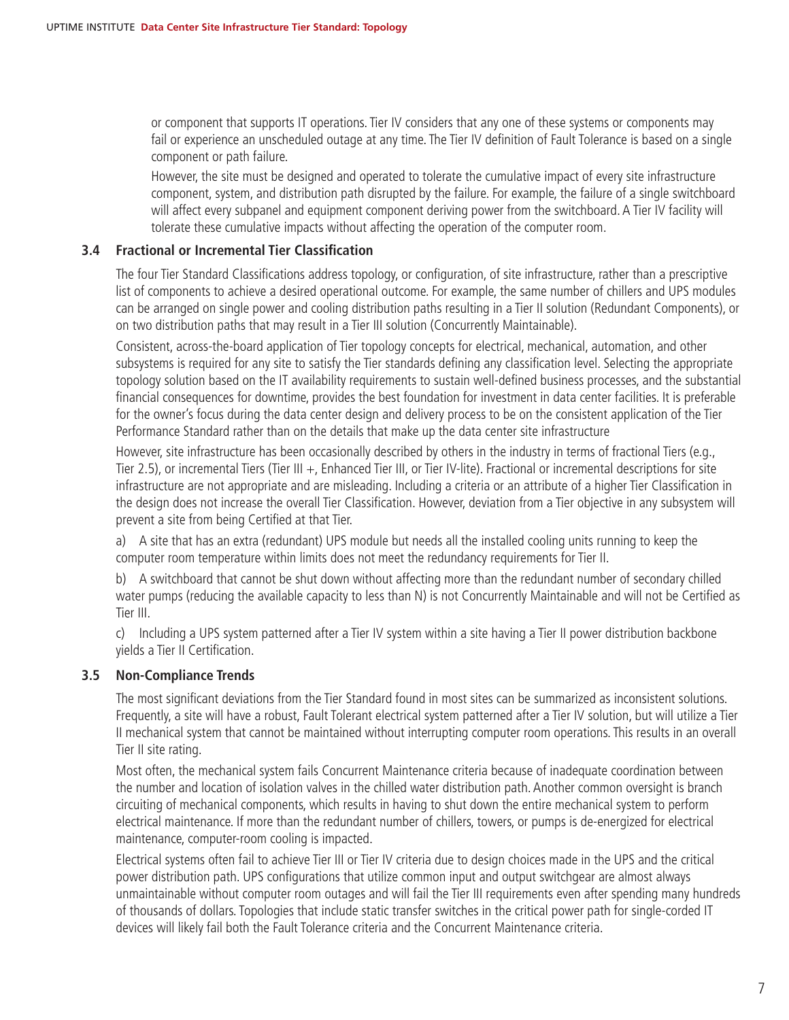or component that supports IT operations. Tier IV considers that any one of these systems or components may fail or experience an unscheduled outage at any time. The Tier IV definition of Fault Tolerance is based on a single component or path failure.

However, the site must be designed and operated to tolerate the cumulative impact of every site infrastructure component, system, and distribution path disrupted by the failure. For example, the failure of a single switchboard will affect every subpanel and equipment component deriving power from the switchboard. A Tier IV facility will tolerate these cumulative impacts without affecting the operation of the computer room.

#### **3.4 Fractional or Incremental Tier Classification**

The four Tier Standard Classifications address topology, or configuration, of site infrastructure, rather than a prescriptive list of components to achieve a desired operational outcome. For example, the same number of chillers and UPS modules can be arranged on single power and cooling distribution paths resulting in a Tier II solution (Redundant Components), or on two distribution paths that may result in a Tier III solution (Concurrently Maintainable).

Consistent, across-the-board application of Tier topology concepts for electrical, mechanical, automation, and other subsystems is required for any site to satisfy the Tier standards defining any classification level. Selecting the appropriate topology solution based on the IT availability requirements to sustain well-defined business processes, and the substantial financial consequences for downtime, provides the best foundation for investment in data center facilities. It is preferable for the owner's focus during the data center design and delivery process to be on the consistent application of the Tier Performance Standard rather than on the details that make up the data center site infrastructure

However, site infrastructure has been occasionally described by others in the industry in terms of fractional Tiers (e.g., Tier 2.5), or incremental Tiers (Tier III +, Enhanced Tier III, or Tier IV-lite). Fractional or incremental descriptions for site infrastructure are not appropriate and are misleading. Including a criteria or an attribute of a higher Tier Classification in the design does not increase the overall Tier Classification. However, deviation from a Tier objective in any subsystem will prevent a site from being Certified at that Tier.

a) A site that has an extra (redundant) UPS module but needs all the installed cooling units running to keep the computer room temperature within limits does not meet the redundancy requirements for Tier II.

b) A switchboard that cannot be shut down without affecting more than the redundant number of secondary chilled water pumps (reducing the available capacity to less than N) is not Concurrently Maintainable and will not be Certified as Tier III.

c) Including a UPS system patterned after a Tier IV system within a site having a Tier II power distribution backbone yields a Tier II Certification.

### **3.5 Non-Compliance Trends**

The most significant deviations from the Tier Standard found in most sites can be summarized as inconsistent solutions. Frequently, a site will have a robust, Fault Tolerant electrical system patterned after a Tier IV solution, but will utilize a Tier II mechanical system that cannot be maintained without interrupting computer room operations. This results in an overall Tier II site rating.

Most often, the mechanical system fails Concurrent Maintenance criteria because of inadequate coordination between the number and location of isolation valves in the chilled water distribution path. Another common oversight is branch circuiting of mechanical components, which results in having to shut down the entire mechanical system to perform electrical maintenance. If more than the redundant number of chillers, towers, or pumps is de-energized for electrical maintenance, computer-room cooling is impacted.

Electrical systems often fail to achieve Tier III or Tier IV criteria due to design choices made in the UPS and the critical power distribution path. UPS configurations that utilize common input and output switchgear are almost always unmaintainable without computer room outages and will fail the Tier III requirements even after spending many hundreds of thousands of dollars. Topologies that include static transfer switches in the critical power path for single-corded IT devices will likely fail both the Fault Tolerance criteria and the Concurrent Maintenance criteria.